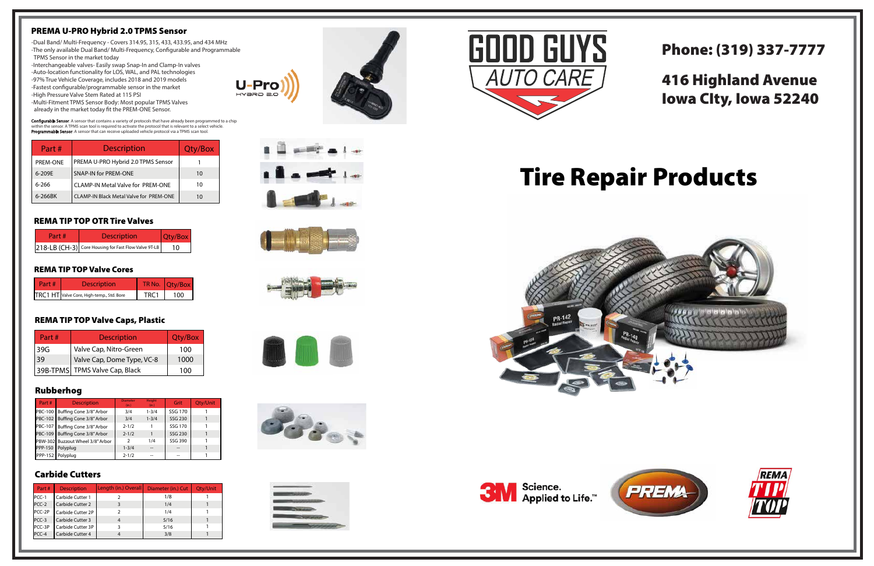# Tire Repair Products







# Phone: (319) 337-7777

# 416 Highland Avenue Iowa CIty, Iowa 52240



| art # | <b>Description</b>                        |      | TR No. Otv/Box |
|-------|-------------------------------------------|------|----------------|
|       | TRC1 HT Valve Core, High-temp., Std. Bore | TRC1 | 100            |

#### REMA TIP TOP Valve Cores

### Rubberhog

| Part#          | <b>Description</b>                | <b>Diameter</b><br>(in.) | <b>Height</b><br>(in.) | Grit           | Qty/Unit |
|----------------|-----------------------------------|--------------------------|------------------------|----------------|----------|
|                | PBC-100   Buffing Cone 3/8" Arbor | 3/4                      | $1 - 3/4$              | SSG 170        |          |
|                | PBC-102 Buffing Cone 3/8" Arbor   | 3/4                      | $1 - 3/4$              | SSG 230        |          |
|                | PBC-107 Buffing Cone 3/8" Arbor   | $2 - 1/2$                |                        | <b>SSG 170</b> |          |
|                | PBC-109 Buffing Cone 3/8" Arbor   | $2 - 1/2$                |                        | SSG 230        |          |
|                | PBW-302 Buzzout Wheel 3/8" Arbor  | 2                        | 1/4                    | SSG 390        |          |
| <b>PPP-150</b> | Polyplug                          | $1 - 3/4$                |                        | $- -$          |          |
|                | PPP-152 Polyplug                  | $2 - 1/2$                |                        | --             |          |

# Carbide Cutters

-Multi-Fitment TPMS Sensor Body: Most popular TPMS Valves already in the market today fit the PREM-ONE Sensor.

Configurable Sensor: A sensor that contains a variety of protocols that have already been programmed to a chip within the sensor. A TPMS scan tool is required to activate the protocol that is relevant to a select vehicle. Programmable Sensor: A sensor that can receive uploaded vehicle protocol via a TPMS scan tool.

| Part#    | <b>Description</b>      | Length (in.) Overall | Diameter (in.) Cut | Qty/Unit |
|----------|-------------------------|----------------------|--------------------|----------|
| $PCC-1$  | Carbide Cutter 1        |                      | 1/8                |          |
| $PCC-2$  | <b>Carbide Cutter 2</b> |                      | 1/4                |          |
| $PCC-2P$ | Carbide Cutter 2P       |                      | 1/4                |          |
| $PCC-3$  | Carbide Cutter 3        |                      | 5/16               |          |
| PCC-3P   | Carbide Cutter 3P       |                      | 5/16               |          |
| $PCC-4$  | Carbide Cutter 4        |                      | 3/8                |          |



U-Proi HYƏRID 2.0













### PREMA U-PRO Hybrid 2.0 TPMS Sensor

- -Dual Band/ Multi-Frequency Covers 314.95, 315, 433, 433.95, and 434 MHz -The only available Dual Band/ Multi-Frequency, Configurable and Programmable TPMS Sensor in the market today
- -Interchangeable valves- Easily swap Snap-In and Clamp-In valves
- -Auto-location functionality for LOS, WAL, and PAL technologies
- -97% True Vehicle Coverage, includes 2018 and 2019 models
- -Fastest configurable/programmable sensor in the market
- -High Pressure Valve Stem Rated at 115 PSI

| Part #   | <b>Description</b>                      | Qty/Box |
|----------|-----------------------------------------|---------|
| PREM-ONE | PREMA U-PRO Hybrid 2.0 TPMS Sensor      |         |
| 6-209E   | <b>SNAP-IN for PREM-ONE</b>             | 10      |
| 6-266    | CLAMP-IN Metal Valve for PREM-ONE       | 10      |
| 6-266BK  | CLAMP-IN Black Metal Valve for PREM-ONE | 10      |

| Part# | <b>Description</b>                                   | Qty/Box |  |
|-------|------------------------------------------------------|---------|--|
|       | 218-LB (CH-3) Core Housing for Fast Flow Valve 9T-LB | 10      |  |

#### REMA TIP TOP OTR Tire Valves

| Part#     | <b>Description</b>             | Qty/Box |
|-----------|--------------------------------|---------|
| 139G      | Valve Cap, Nitro-Green         | 100     |
| <b>39</b> | Valve Cap, Dome Type, VC-8     | 1000    |
|           | 39B-TPMS TPMS Valve Cap, Black | 100     |

## REMA TIP TOP Valve Caps, Plastic